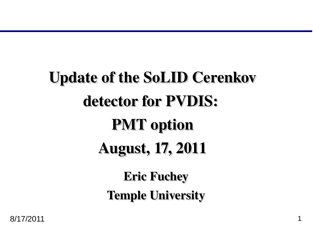# Update of the SoLID Cerenkov detector for PVDIS: PMT option August, 17, 2011 Eric Fuchey

Temple University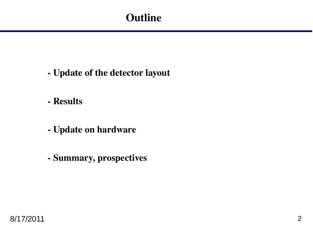# **Outline**

- Update of the detector layout
- Results
- Update on hardware
- Summary, prospectives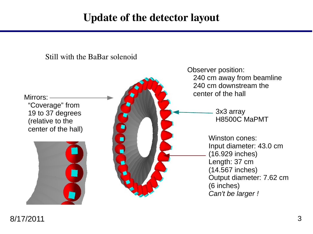# Update of the detector layout

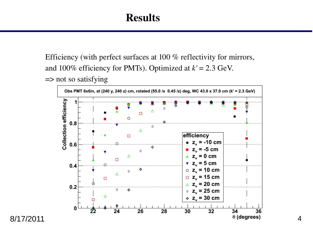Efficiency (with perfect surfaces at 100 % reflectivity for mirrors, and  $100\%$  efficiency for PMTs). Optimized at  $k' = 2.3$  GeV. => not so satisfying



8/17/2011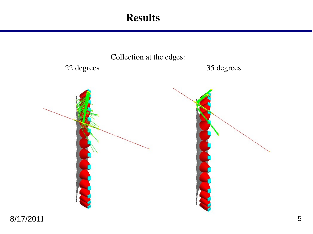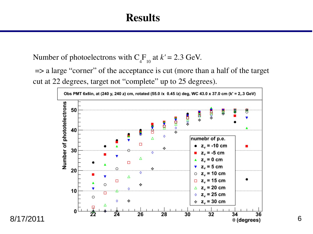Number of photoelectrons with  $C_4F_{10}$  at  $k' = 2.3$  GeV.

=> a large "corner" of the acceptance is cut (more than a half of the target cut at 22 degrees, target not "complete" up to 25 degrees).



8/17/2011

6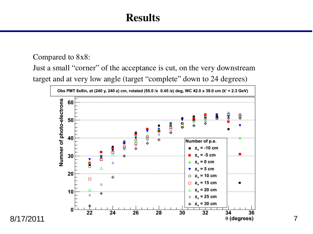#### Compared to 8x8:

Just a small "corner" of the acceptance is cut, on the very downstream target and at very low angle (target "complete" down to 24 degrees)



8/17/2011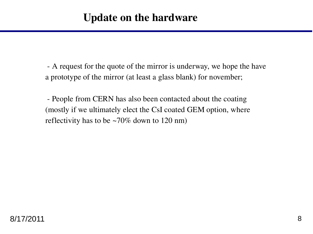A request for the quote of the mirror is underway, we hope the have a prototype of the mirror (at least a glass blank) for november;

 People from CERN has also been contacted about the coating (mostly if we ultimately elect the CsI coated GEM option, where reflectivity has to be ~70% down to 120 nm)